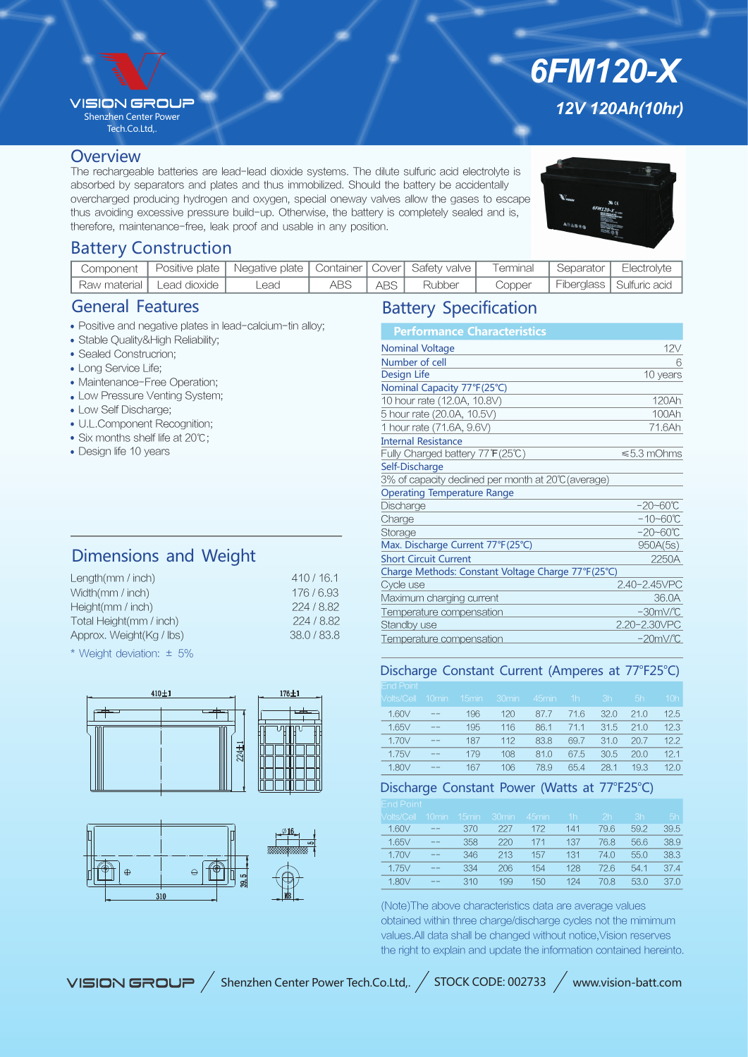## **VISION GROUR**

Shenzhen Center Power Tech.Co.Ltd,.

#### **Overview**

The rechargeable batteries are lead-lead dioxide systems. The dilute sulfuric acid electrolyte is absorbed by separators and plates and thus immobilized. Should the battery be accidentally overcharged producing hydrogen and oxygen, special oneway valves allow the gases to escape thus avoiding excessive pressure build-up. Otherwise, the battery is completely sealed and is, therefore, maintenance-free, leak proof and usable in any position.

*12V 120Ah(10hr)*

*6FM120-X*

## Battery Construction

| Component                      | Positive plate   Negative plate   Container   Cover   Safety valve   Terminal |     |       |        |        | Separator   Electrolyte    |
|--------------------------------|-------------------------------------------------------------------------------|-----|-------|--------|--------|----------------------------|
| ' Raw material   Lead dioxide, | Lead                                                                          | ABS | ABS I | Rubber | Copper | Fiberglass   Sulfuric acid |

## General Features

- Positive and negative plates in lead-calcium-tin alloy;
- Stable Quality&High Reliability;
- Sealed Construcrion;
- Long Service Life;
- Maintenance-Free Operation;
- Low Pressure Venting System;
- Low Self Discharge;
- U.L.Component Recognition;
- Six months shelf life at 20℃;
- Design life 10 years

# Dimensions and Weight

| Length( $mm / inch$ )    | 410/16.1  |
|--------------------------|-----------|
| Width(mm / inch)         | 176/6.93  |
| Height(mm / inch)        | 224/8.82  |
| Total Height(mm / inch)  | 224/8.82  |
| Approx. Weight(Kg / lbs) | 38.0/83.8 |
|                          |           |

\* Weight deviation: ± 5%





# Battery Specification

| <b>Performance Characteristics</b>                  |                      |
|-----------------------------------------------------|----------------------|
| <b>Nominal Voltage</b>                              | 12V                  |
| Number of cell                                      | 6                    |
| <b>Design Life</b>                                  | 10 years             |
| Nominal Capacity 77°F(25°C)                         |                      |
| 10 hour rate (12.0A, 10.8V)                         | 120Ah                |
| 5 hour rate (20.0A, 10.5V)                          | 100Ah                |
| 1 hour rate (71.6A, 9.6V)                           | 71.6Ah               |
| <b>Internal Resistance</b>                          |                      |
| Fully Charged battery 77°F(25℃)                     | $\leq 5.3$ mOhms     |
| Self-Discharge                                      |                      |
| 3% of capacity declined per month at 20°C (average) |                      |
| <b>Operating Temperature Range</b>                  |                      |
| Discharge                                           | $-20 - 60^{\circ}C$  |
| Charge                                              | $-10 - 60^{\circ}C$  |
| Storage                                             | $-20 - 60^{\circ}C$  |
| Max. Discharge Current 77°F(25°C)                   | 950A(5s)             |
| <b>Short Circuit Current</b>                        | 2250A                |
| Charge Methods: Constant Voltage Charge 77°F(25°C)  |                      |
| Cycle use                                           | 2.40-2.45VPC         |
| Maximum charging current                            | 36.0A                |
| Temperature compensation                            | $-30mV$ <sup>C</sup> |
| Standby use                                         | 2.20-2.30VPC         |
| Temperature compensation                            | $-20mV$ <sup>c</sup> |

### Discharge Constant Current (Amperes at 77°F25°C)

| <b>End Point</b>  |          |                   |                   |       |      |      |      |                 |
|-------------------|----------|-------------------|-------------------|-------|------|------|------|-----------------|
| <b>Volts/Cell</b> | $10$ min | 15 <sub>min</sub> | 30 <sub>min</sub> | 45min | 1h   | 3h   | ı5h' | 10 <sub>h</sub> |
| 1.60V             | $- -$    | 196               | 120               | 87.7  | 71.6 | 32.0 | 21.0 | 12.5            |
| 1.65V             | $- -$    | 195               | 116               | 86.1  | 71.1 | 31.5 | 21.0 | 12.3            |
| 1.70V             | --       | 187               | 112               | 83.8  | 69.7 | 31.0 | 20.7 | 12.2            |
| 1.75V             | $- -$    | 179               | 108               | 81.0  | 67.5 | 30.5 | 20.0 | 12.1            |
| 1.80V             | --       | 167               | 106               | 78.9  | 654  | 28.1 | 19.3 | 12.0            |

## Discharge Constant Power (Watts at 77°F25°C)

| <b>Nolts/Cell</b> | 10 <sub>min</sub> | 15 <sub>min</sub> | 30 <sub>min</sub> | 45min | 1h  | 2 <sub>h</sub> | 3h   | 5h   |
|-------------------|-------------------|-------------------|-------------------|-------|-----|----------------|------|------|
| 1.60 <sub>V</sub> | $- -$             | 370               | 227               | 172   | 141 | 79.6           | 59.2 | 39.5 |
| 1.65V             | $- -$             | 358               | 220               | 171   | 137 | 76.8           | 56.6 | 38.9 |
| 1.70V             | $- -$             | 346               | 213               | 157   | 131 | 74.0           | 55.0 | 38.3 |
| 1.75V             | $- -$             | 334               | 206               | 154   | 128 | 726            | 54.1 | 37.4 |
| 1.80V             | $- -$             | 310               | 199               | 150   | 124 | 70.8           | 53.0 | 37.0 |
|                   |                   |                   |                   |       |     |                |      |      |

(Note)The above characteristics data are average values obtained within three charge/discharge cycles not the mimimum values.All data shall be changed without notice,Vision reserves the right to explain and update the information contained hereinto.

VISION GROUP / Shenzhen Center Power Tech.Co.Ltd,. / STOCK CODE: 002733 / www.vision-batt.com